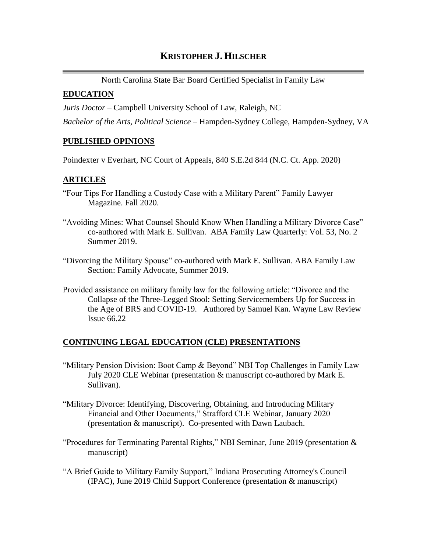# **KRISTOPHER J. HILSCHER**

North Carolina State Bar Board Certified Specialist in Family Law

### **EDUCATION**

*Juris Doctor* – Campbell University School of Law, Raleigh, NC

*Bachelor of the Arts, Political Science* – Hampden-Sydney College, Hampden-Sydney, VA

#### **PUBLISHED OPINIONS**

Poindexter v Everhart, NC Court of Appeals, 840 S.E.2d 844 (N.C. Ct. App. 2020)

#### **ARTICLES**

- "Four Tips For Handling a Custody Case with a Military Parent" Family Lawyer Magazine. Fall 2020.
- "Avoiding Mines: What Counsel Should Know When Handling a Military Divorce Case" co-authored with Mark E. Sullivan. ABA Family Law Quarterly: Vol. 53, No. 2 Summer 2019.
- "Divorcing the Military Spouse" co-authored with Mark E. Sullivan. ABA Family Law Section: Family Advocate, Summer 2019.
- Provided assistance on military family law for the following article: "Divorce and the Collapse of the Three-Legged Stool: Setting Servicemembers Up for Success in the Age of BRS and COVID-19. Authored by Samuel Kan. Wayne Law Review Issue 66.22

## **CONTINUING LEGAL EDUCATION (CLE) PRESENTATIONS**

- "Military Pension Division: Boot Camp & Beyond" NBI Top Challenges in Family Law July 2020 CLE Webinar (presentation & manuscript co-authored by Mark E. Sullivan).
- "Military Divorce: Identifying, Discovering, Obtaining, and Introducing Military Financial and Other Documents," Strafford CLE Webinar, January 2020 (presentation & manuscript). Co-presented with Dawn Laubach.
- "Procedures for Terminating Parental Rights," NBI Seminar, June 2019 (presentation & manuscript)
- "A Brief Guide to Military Family Support," Indiana Prosecuting Attorney's Council (IPAC), June 2019 Child Support Conference (presentation & manuscript)